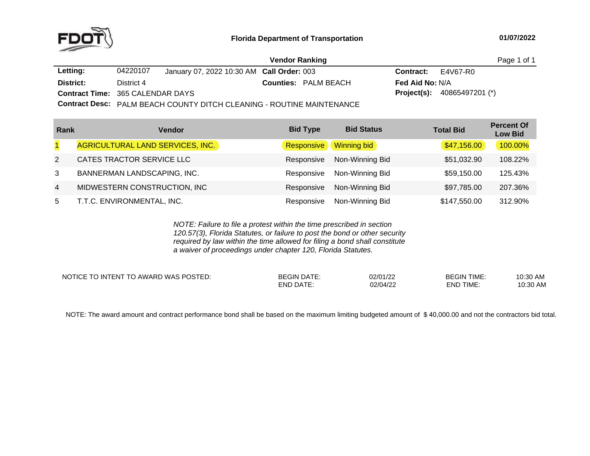

|                                         |            |                                           | <b>Vendor Ranking</b>                                                  |                        |                                      | Page 1 of 1 |
|-----------------------------------------|------------|-------------------------------------------|------------------------------------------------------------------------|------------------------|--------------------------------------|-------------|
| Letting:                                | 04220107   | January 07, 2022 10:30 AM Call Order: 003 |                                                                        | <b>Contract:</b>       | E4V67-R0                             |             |
| District:                               | District 4 |                                           | <b>Counties: PALM BEACH</b>                                            | <b>Fed Aid No: N/A</b> |                                      |             |
| <b>Contract Time: 365 CALENDAR DAYS</b> |            |                                           |                                                                        |                        | <b>Project(s):</b> $40865497201$ (*) |             |
|                                         |            |                                           | Contract Docor DALIA DEACH COUNTY DITOU OF FANING DOUTINE MAINITENANCE |                        |                                      |             |

**Contract Desc:** PALM BEACH COUNTY DITCH CLEANING - ROUTINE MAINTENANCE

| Rank           | Vendor                           | <b>Bid Type</b> | <b>Bid Status</b> | <b>Total Bid</b> | <b>Percent Of</b><br><b>Low Bid</b> |
|----------------|----------------------------------|-----------------|-------------------|------------------|-------------------------------------|
|                | AGRICULTURAL LAND SERVICES, INC. | Responsive      | Winning bid       | \$47,156.00      | 100.00%                             |
| 2              | CATES TRACTOR SERVICE LLC        | Responsive      | Non-Winning Bid   | \$51,032.90      | 108.22%                             |
| 3              | BANNERMAN LANDSCAPING, INC.      | Responsive      | Non-Winning Bid   | \$59,150.00      | 125.43%                             |
| $\overline{4}$ | MIDWESTERN CONSTRUCTION, INC     | Responsive      | Non-Winning Bid   | \$97,785.00      | 207.36%                             |
| 5              | T.T.C. ENVIRONMENTAL, INC.       | Responsive      | Non-Winning Bid   | \$147,550.00     | 312.90%                             |

*NOTE: Failure to file <sup>a</sup> protest within the time prescribed in section 120.57(3), Florida Statutes, or failure to post the bond or other security required by law within the time allowed for filing <sup>a</sup> bond shall constitute a waiver of proceedings under chapter 120, Florida Statutes.*

NOTICE TO INTENT TO AWARD WAS POSTED: BEGIN DATE: 02/01/22 BEGIN TIME: 10:30 AM

END DATE: 02/04/22 END TIME:

10:30 AM

NOTE: The award amount and contract performance bond shall be based on the maximum limiting budgeted amount of \$40,000.00 and not the contractors bid total.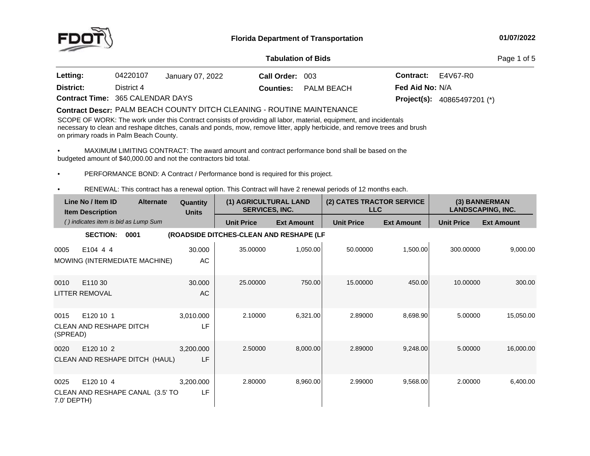

#### **01/07/2022**

#### **Tabulation**

Page 1 of 5

| Letting:                                | 04220107   | January 07, 2022 | Call Order: 003 |                             | <b>Contract:</b> E4V67-R0            |  |
|-----------------------------------------|------------|------------------|-----------------|-----------------------------|--------------------------------------|--|
| District:                               | District 4 |                  |                 | <b>Counties:</b> PALM BEACH | <b>Fed Aid No: N/A</b>               |  |
| <b>Contract Time: 365 CALENDAR DAYS</b> |            |                  |                 |                             | <b>Project(s):</b> $40865497201$ (*) |  |

# **Contract Descr:** PALM BEACH COUNTY DITCH CLEANING - ROUTINE MAINTENANCE<br>COOPE OF WORK THE LITTLE OF LITTLE OF LITTLE AND THE LITTLE OF LITTLE OF LITTLE OF LITTLE OF LITTLE OF LITTLE

SCOPE OF WORK: The work under this Contract consists of providing all labor, material, equipment, and incidentals<br>secondary to class and subsequently be accepted and again manuscripture and the stability and conservations necessary to clean and reshape ditches, canals and ponds, mow, remove litter, apply herbicide, and remove trees and brush on primary roads in Palm Beach County.

•• MAXIMUM LIMITING CONTRACT: The award amount and contract performance bond shall be based on the<br>hidgeted amount of \$40,000,00 and not the contractors hid total budgeted amount of \$40,000.00 and not the contractors bid total.

•PERFORMANCE BOND: <sup>A</sup> Contract / Performance bond is required for this project.

•RENEWAL: This contract has <sup>a</sup> renewal option. This Contract will have <sup>2</sup> renewal periods of <sup>12</sup> months each.

|                     | Line No / Item ID<br><b>Item Description</b> | <b>Alternate</b>                     | Quantity<br><b>Units</b> | (1) AGRICULTURAL LAND<br><b>SERVICES, INC.</b> |                   | (2) CATES TRACTOR SERVICE<br><b>LLC</b> |                   |                   | (3) BANNERMAN<br><b>LANDSCAPING, INC.</b> |
|---------------------|----------------------------------------------|--------------------------------------|--------------------------|------------------------------------------------|-------------------|-----------------------------------------|-------------------|-------------------|-------------------------------------------|
|                     |                                              | () indicates item is bid as Lump Sum |                          | <b>Unit Price</b>                              | <b>Ext Amount</b> | <b>Unit Price</b>                       | <b>Ext Amount</b> | <b>Unit Price</b> | <b>Ext Amount</b>                         |
|                     | <b>SECTION:</b>                              | 0001                                 |                          | (ROADSIDE DITCHES-CLEAN AND RESHAPE (LF        |                   |                                         |                   |                   |                                           |
| 0005                | E104 4 4                                     | MOWING (INTERMEDIATE MACHINE)        | 30.000<br>AC             | 35.00000                                       | 1,050.00          | 50.00000                                | 1,500.00          | 300.00000         | 9,000.00                                  |
| 0010                | E110 30<br><b>LITTER REMOVAL</b>             |                                      | 30,000<br>AC             | 25.00000                                       | 750.00            | 15.00000                                | 450.00            | 10.00000          | 300.00                                    |
| 0015<br>(SPREAD)    | E120 10 1<br><b>CLEAN AND RESHAPE DITCH</b>  |                                      | 3,010.000<br>LF          | 2.10000                                        | 6,321.00          | 2.89000                                 | 8,698.90          | 5.00000           | 15,050.00                                 |
| 0020                | E120 10 2                                    | CLEAN AND RESHAPE DITCH (HAUL)       | 3,200.000<br>LF          | 2.50000                                        | 8,000.00          | 2.89000                                 | 9,248.00          | 5.00000           | 16,000.00                                 |
| 0025<br>7.0' DEPTH) | E120 10 4                                    | CLEAN AND RESHAPE CANAL (3.5' TO     | 3,200.000<br>LF          | 2.80000                                        | 8,960.00          | 2.99000                                 | 9,568.00          | 2.00000           | 6,400.00                                  |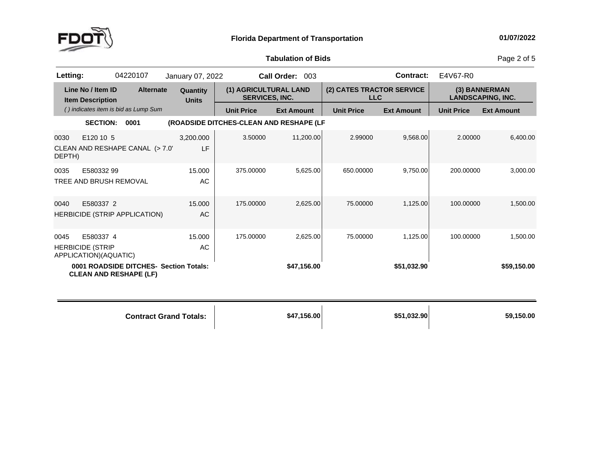

## **Tabulation**

Page 2 of 5

| Letting:       |                                                               | 04220107                               | January 07, 2022         |                                                | Call Order: 003   |                                         | <b>Contract:</b>  | E4V67-R0          |                                           |
|----------------|---------------------------------------------------------------|----------------------------------------|--------------------------|------------------------------------------------|-------------------|-----------------------------------------|-------------------|-------------------|-------------------------------------------|
|                | Line No / Item ID<br><b>Item Description</b>                  | <b>Alternate</b>                       | Quantity<br><b>Units</b> | (1) AGRICULTURAL LAND<br><b>SERVICES, INC.</b> |                   | (2) CATES TRACTOR SERVICE<br><b>LLC</b> |                   |                   | (3) BANNERMAN<br><b>LANDSCAPING, INC.</b> |
|                |                                                               | () indicates item is bid as Lump Sum   |                          | <b>Unit Price</b>                              | <b>Ext Amount</b> | <b>Unit Price</b>                       | <b>Ext Amount</b> | <b>Unit Price</b> | <b>Ext Amount</b>                         |
|                | <b>SECTION:</b>                                               | 0001                                   |                          | (ROADSIDE DITCHES-CLEAN AND RESHAPE (LF        |                   |                                         |                   |                   |                                           |
| 0030<br>DEPTH) | E120 10 5                                                     | CLEAN AND RESHAPE CANAL (> 7.0'        | 3,200.000<br>LF          | 3.50000                                        | 11,200.00         | 2.99000                                 | 9,568.00          | 2.00000           | 6,400.00                                  |
| 0035           | E580332 99<br>TREE AND BRUSH REMOVAL                          |                                        | 15.000<br>AC             | 375.00000                                      | 5,625.00          | 650.00000                               | 9,750.00          | 200.00000         | 3,000.00                                  |
| 0040           | E580337 2                                                     | HERBICIDE (STRIP APPLICATION)          | 15.000<br>AC             | 175.00000                                      | 2,625.00          | 75.00000                                | 1,125.00          | 100.00000         | 1,500.00                                  |
| 0045           | E580337 4<br><b>HERBICIDE (STRIP</b><br>APPLICATION)(AQUATIC) |                                        | 15.000<br>AC             | 175.00000                                      | 2,625.00          | 75.00000                                | 1,125.00          | 100.00000         | 1,500.00                                  |
|                | <b>CLEAN AND RESHAPE (LF)</b>                                 | 0001 ROADSIDE DITCHES- Section Totals: |                          |                                                | \$47,156.00       |                                         | \$51,032.90       |                   | \$59,150.00                               |

| <b>Contract Grand Totals:</b> | \$47,156.00 | \$51,032.90 | 59,150.00 |
|-------------------------------|-------------|-------------|-----------|
|                               |             |             |           |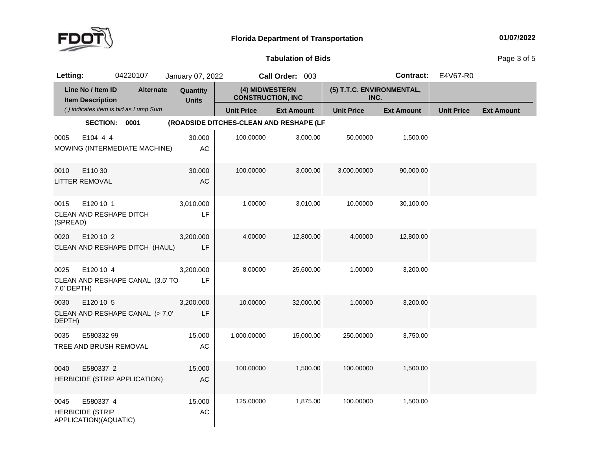

## **Tabulation**

Page 3 of 5

| Letting:            |                                                               | 04220107                             | January 07, 2022         |                                            | Call Order: 003   |                                   | <b>Contract:</b>  | E4V67-R0          |                   |
|---------------------|---------------------------------------------------------------|--------------------------------------|--------------------------|--------------------------------------------|-------------------|-----------------------------------|-------------------|-------------------|-------------------|
|                     | Line No / Item ID<br><b>Item Description</b>                  | <b>Alternate</b>                     | Quantity<br><b>Units</b> | (4) MIDWESTERN<br><b>CONSTRUCTION, INC</b> |                   | (5) T.T.C. ENVIRONMENTAL,<br>INC. |                   |                   |                   |
|                     |                                                               | () indicates item is bid as Lump Sum |                          | <b>Unit Price</b>                          | <b>Ext Amount</b> | <b>Unit Price</b>                 | <b>Ext Amount</b> | <b>Unit Price</b> | <b>Ext Amount</b> |
|                     | SECTION: 0001                                                 |                                      |                          | (ROADSIDE DITCHES-CLEAN AND RESHAPE (LF    |                   |                                   |                   |                   |                   |
| 0005                | E104 4 4                                                      | MOWING (INTERMEDIATE MACHINE)        | 30.000<br>AC             | 100.00000                                  | 3,000.00          | 50.00000                          | 1,500.00          |                   |                   |
| 0010                | E110 30<br><b>LITTER REMOVAL</b>                              |                                      | 30.000<br>AC             | 100.00000                                  | 3,000.00          | 3,000.00000                       | 90,000.00         |                   |                   |
| 0015<br>(SPREAD)    | E120 10 1<br>CLEAN AND RESHAPE DITCH                          |                                      | 3,010.000<br>LF          | 1.00000                                    | 3,010.00          | 10.00000                          | 30,100.00         |                   |                   |
| 0020                | E120 10 2                                                     | CLEAN AND RESHAPE DITCH (HAUL)       | 3,200.000<br>LF          | 4.00000                                    | 12,800.00         | 4.00000                           | 12,800.00         |                   |                   |
| 0025<br>7.0' DEPTH) | E120 10 4                                                     | CLEAN AND RESHAPE CANAL (3.5' TO     | 3,200.000<br>LF          | 8.00000                                    | 25,600.00         | 1.00000                           | 3,200.00          |                   |                   |
| 0030<br>DEPTH)      | E120 10 5                                                     | CLEAN AND RESHAPE CANAL (> 7.0'      | 3,200.000<br>LF          | 10.00000                                   | 32,000.00         | 1.00000                           | 3,200.00          |                   |                   |
| 0035                | E580332 99<br>TREE AND BRUSH REMOVAL                          |                                      | 15.000<br>AC             | 1,000.00000                                | 15,000.00         | 250.00000                         | 3,750.00          |                   |                   |
| 0040                | E580337 2                                                     | HERBICIDE (STRIP APPLICATION)        | 15.000<br>AC             | 100.00000                                  | 1,500.00          | 100.00000                         | 1,500.00          |                   |                   |
| 0045                | E580337 4<br><b>HERBICIDE (STRIP</b><br>APPLICATION)(AQUATIC) |                                      | 15.000<br>AC             | 125.00000                                  | 1,875.00          | 100.00000                         | 1,500.00          |                   |                   |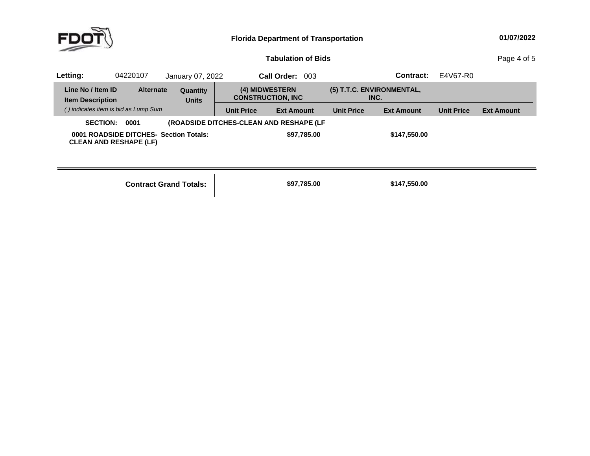

#### **Tabulation**

Page 4 of 5

| Letting:                                     | 04220107                                                                | January 07, 2022         |                                             | Call Order: 003                         |                                   | Contract:         | E4V67-R0          |                   |
|----------------------------------------------|-------------------------------------------------------------------------|--------------------------|---------------------------------------------|-----------------------------------------|-----------------------------------|-------------------|-------------------|-------------------|
| Line No / Item ID<br><b>Item Description</b> | <b>Alternate</b>                                                        | Quantity<br><b>Units</b> | (4) MIDWESTERN<br><b>CONSTRUCTION, INC.</b> |                                         | (5) T.T.C. ENVIRONMENTAL,<br>INC. |                   |                   |                   |
|                                              | () indicates item is bid as Lump Sum                                    |                          | <b>Unit Price</b>                           | <b>Ext Amount</b>                       | <b>Unit Price</b>                 | <b>Ext Amount</b> | <b>Unit Price</b> | <b>Ext Amount</b> |
| <b>SECTION:</b>                              | 0001                                                                    |                          |                                             | (ROADSIDE DITCHES-CLEAN AND RESHAPE (LF |                                   |                   |                   |                   |
|                                              | 0001 ROADSIDE DITCHES- Section Totals:<br><b>CLEAN AND RESHAPE (LF)</b> |                          |                                             | \$97,785.00                             |                                   | \$147,550.00      |                   |                   |

| <b>Contract Grand Totals:</b> |
|-------------------------------|
|-------------------------------|

**Totals: \$97,785.00 \$147,550.00**